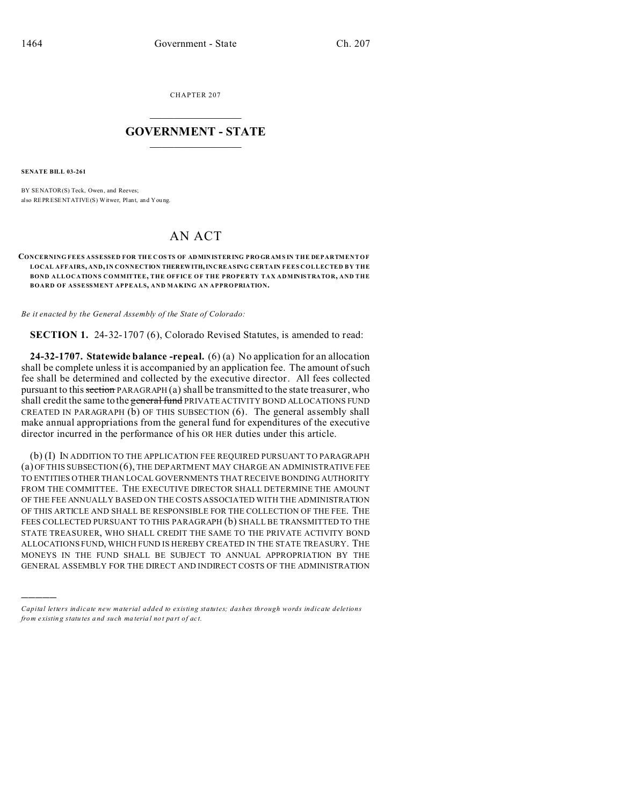CHAPTER 207  $\overline{\phantom{a}}$  , where  $\overline{\phantom{a}}$ 

## **GOVERNMENT - STATE**  $\_$   $\_$   $\_$   $\_$   $\_$   $\_$   $\_$   $\_$   $\_$

**SENATE BILL 03-261**

)))))

BY SENATOR(S) Teck, Owen, and Reeves; also REPRESENTATIVE(S) Witwer, Plant, and You ng.

## AN ACT

## **CONCERNING FEES ASSESSED FOR THE COSTS OF ADMIN ISTER ING PRO GR AMS IN THE DEPARTMENT OF LOCAL AFFAIRS, AND, IN CONNECTION THEREWITH, INCREASING CERTAIN FEES COLLECTED BY THE BOND ALLOCATIONS COMMITTEE, THE OFFICE OF THE PROPERTY TAX ADMINISTRATOR, AND THE BOARD OF ASSESSMENT APPEALS, AND MAKING AN APPROPRIATION.**

*Be it enacted by the General Assembly of the State of Colorado:*

**SECTION 1.** 24-32-1707 (6), Colorado Revised Statutes, is amended to read:

**24-32-1707. Statewide balance -repeal.** (6) (a) No application for an allocation shall be complete unless it is accompanied by an application fee. The amount of such fee shall be determined and collected by the executive director. All fees collected pursuant to this section PARAGRAPH  $(a)$  shall be transmitted to the state treasurer, who shall credit the same to the general fund PRIVATE ACTIVITY BOND ALLOCATIONS FUND CREATED IN PARAGRAPH (b) OF THIS SUBSECTION (6). The general assembly shall make annual appropriations from the general fund for expenditures of the executive director incurred in the performance of his OR HER duties under this article.

(b) (I) IN ADDITION TO THE APPLICATION FEE REQUIRED PURSUANT TO PARAGRAPH  $(a)$  OF THIS SUBSECTION  $(6)$ , THE DEPARTMENT MAY CHARGE AN ADMINISTRATIVE FEE TO ENTITIES OTHER THAN LOCAL GOVERNMENTS THAT RECEIVE BONDING AUTHORITY FROM THE COMMITTEE. THE EXECUTIVE DIRECTOR SHALL DETERMINE THE AMOUNT OF THE FEE ANNUALLY BASED ON THE COSTS ASSOCIATED WITH THE ADMINISTRATION OF THIS ARTICLE AND SHALL BE RESPONSIBLE FOR THE COLLECTION OF THE FEE. THE FEES COLLECTED PURSUANT TO THIS PARAGRAPH (b) SHALL BE TRANSMITTED TO THE STATE TREASURER, WHO SHALL CREDIT THE SAME TO THE PRIVATE ACTIVITY BOND ALLOCATIONS FUND, WHICH FUND IS HEREBY CREATED IN THE STATE TREASURY. THE MONEYS IN THE FUND SHALL BE SUBJECT TO ANNUAL APPROPRIATION BY THE GENERAL ASSEMBLY FOR THE DIRECT AND INDIRECT COSTS OF THE ADMINISTRATION

*Capital letters indicate new material added to existing statutes; dashes through words indicate deletions from e xistin g statu tes a nd such ma teria l no t pa rt of ac t.*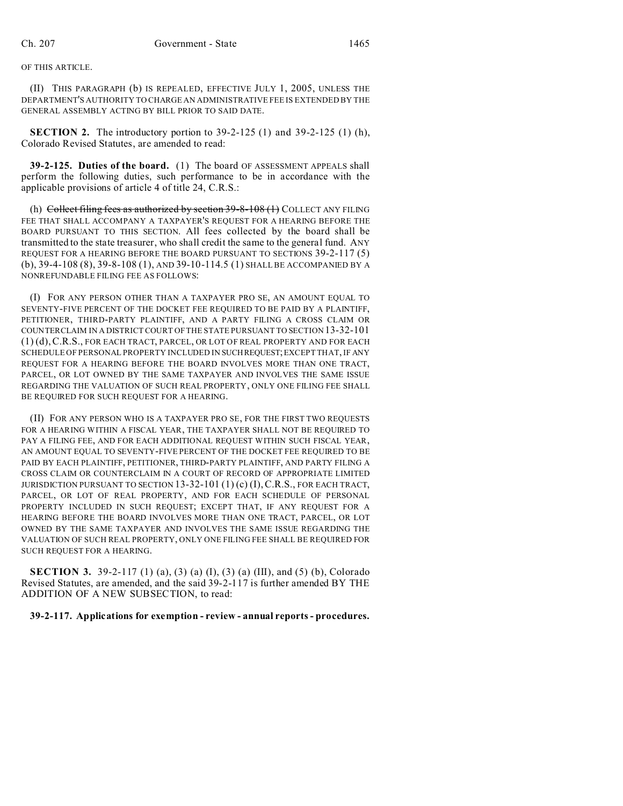## OF THIS ARTICLE.

(II) THIS PARAGRAPH (b) IS REPEALED, EFFECTIVE JULY 1, 2005, UNLESS THE DEPARTMENT'S AUTHORITY TO CHARGE AN ADMINISTRATIVE FEE IS EXTENDED BY THE GENERAL ASSEMBLY ACTING BY BILL PRIOR TO SAID DATE.

**SECTION 2.** The introductory portion to 39-2-125 (1) and 39-2-125 (1) (h), Colorado Revised Statutes, are amended to read:

**39-2-125. Duties of the board.** (1) The board OF ASSESSMENT APPEALS shall perform the following duties, such performance to be in accordance with the applicable provisions of article 4 of title 24, C.R.S.:

(h) Collect filing fees as authorized by section  $39-8-108(1)$  COLLECT ANY FILING FEE THAT SHALL ACCOMPANY A TAXPAYER'S REQUEST FOR A HEARING BEFORE THE BOARD PURSUANT TO THIS SECTION. All fees collected by the board shall be transmitted to the state treasurer, who shall credit the same to the general fund. ANY REQUEST FOR A HEARING BEFORE THE BOARD PURSUANT TO SECTIONS 39-2-117 (5) (b), 39-4-108 (8), 39-8-108 (1), AND 39-10-114.5 (1) SHALL BE ACCOMPANIED BY A NONREFUNDABLE FILING FEE AS FOLLOWS:

(I) FOR ANY PERSON OTHER THAN A TAXPAYER PRO SE, AN AMOUNT EQUAL TO SEVENTY-FIVE PERCENT OF THE DOCKET FEE REQUIRED TO BE PAID BY A PLAINTIFF, PETITIONER, THIRD-PARTY PLAINTIFF, AND A PARTY FILING A CROSS CLAIM OR COUNTERCLAIM IN A DISTRICT COURT OF THE STATE PURSUANT TO SECTION 13-32-101 (1) (d),C.R.S., FOR EACH TRACT, PARCEL, OR LOT OF REAL PROPERTY AND FOR EACH SCHEDULE OF PERSONAL PROPERTY INCLUDED IN SUCHREQUEST; EXCEPT THAT, IF ANY REQUEST FOR A HEARING BEFORE THE BOARD INVOLVES MORE THAN ONE TRACT, PARCEL, OR LOT OWNED BY THE SAME TAXPAYER AND INVOLVES THE SAME ISSUE REGARDING THE VALUATION OF SUCH REAL PROPERTY, ONLY ONE FILING FEE SHALL BE REQUIRED FOR SUCH REQUEST FOR A HEARING.

(II) FOR ANY PERSON WHO IS A TAXPAYER PRO SE, FOR THE FIRST TWO REQUESTS FOR A HEARING WITHIN A FISCAL YEAR, THE TAXPAYER SHALL NOT BE REQUIRED TO PAY A FILING FEE, AND FOR EACH ADDITIONAL REQUEST WITHIN SUCH FISCAL YEAR, AN AMOUNT EQUAL TO SEVENTY-FIVE PERCENT OF THE DOCKET FEE REQUIRED TO BE PAID BY EACH PLAINTIFF, PETITIONER, THIRD-PARTY PLAINTIFF, AND PARTY FILING A CROSS CLAIM OR COUNTERCLAIM IN A COURT OF RECORD OF APPROPRIATE LIMITED JURISDICTION PURSUANT TO SECTION 13-32-101 (1) (c) (I),C.R.S., FOR EACH TRACT, PARCEL, OR LOT OF REAL PROPERTY, AND FOR EACH SCHEDULE OF PERSONAL PROPERTY INCLUDED IN SUCH REQUEST; EXCEPT THAT, IF ANY REQUEST FOR A HEARING BEFORE THE BOARD INVOLVES MORE THAN ONE TRACT, PARCEL, OR LOT OWNED BY THE SAME TAXPAYER AND INVOLVES THE SAME ISSUE REGARDING THE VALUATION OF SUCH REAL PROPERTY, ONLY ONE FILING FEE SHALL BE REQUIRED FOR SUCH REQUEST FOR A HEARING.

**SECTION 3.** 39-2-117 (1) (a), (3) (a) (I), (3) (a) (III), and (5) (b), Colorado Revised Statutes, are amended, and the said 39-2-117 is further amended BY THE ADDITION OF A NEW SUBSECTION, to read:

**39-2-117. Applications for exemption - review - annual reports - procedures.**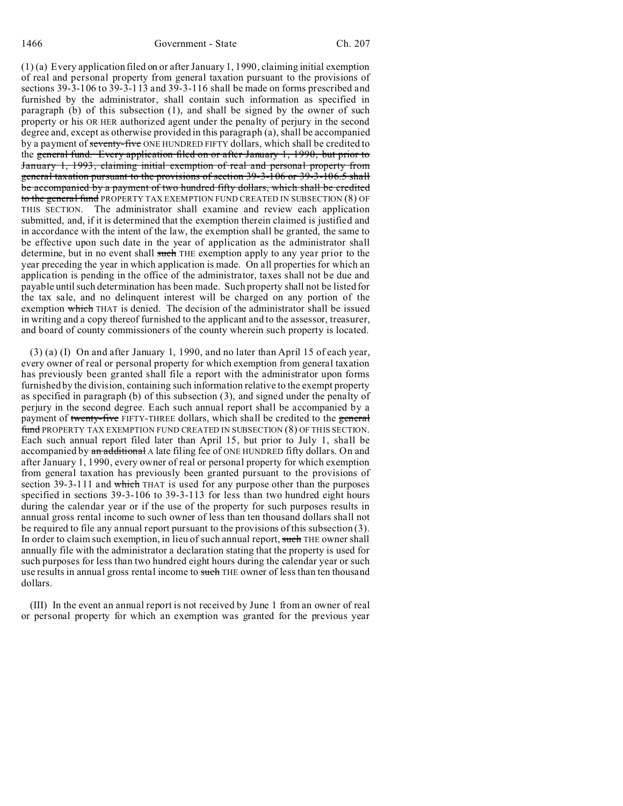(1) (a) Every application filed on or after January 1, 1990, claiming initial exemption of real and personal property from general taxation pursuant to the provisions of sections 39-3-106 to 39-3-113 and 39-3-116 shall be made on forms prescribed and furnished by the administrator, shall contain such information as specified in paragraph (b) of this subsection (1), and shall be signed by the owner of such property or his OR HER authorized agent under the penalty of perjury in the second degree and, except as otherwise provided in this paragraph (a), shall be accompanied by a payment of seventy-five ONE HUNDRED FIFTY dollars, which shall be credited to the general fund. Every application filed on or after January 1, 1990, but prior to January 1, 1993, claiming initial exemption of real and personal property from general taxation pursuant to the provisions of section 39-3-106 or 39-3-106.5 shall be accompanied by a payment of two hundred fifty dollars, which shall be credited to the general fund PROPERTY TAX EXEMPTION FUND CREATED IN SUBSECTION (8) OF THIS SECTION. The administrator shall examine and review each application submitted, and, if it is determined that the exemption therein claimed is justified and in accordance with the intent of the law, the exemption shall be granted, the same to be effective upon such date in the year of application as the administrator shall determine, but in no event shall such THE exemption apply to any year prior to the year preceding the year in which application is made. On all properties for which an application is pending in the office of the administrator, taxes shall not be due and payable until such determination has been made. Such property shall not be listed for the tax sale, and no delinquent interest will be charged on any portion of the exemption which THAT is denied. The decision of the administrator shall be issued in writing and a copy thereof furnished to the applicant and to the assessor, treasurer, and board of county commissioners of the county wherein such property is located.

(3) (a) (I) On and after January 1, 1990, and no later than April 15 of each year, every owner of real or personal property for which exemption from general taxation has previously been granted shall file a report with the administrator upon forms furnished by the division, containing such information relative to the exempt property as specified in paragraph (b) of this subsection (3), and signed under the penalty of perjury in the second degree. Each such annual report shall be accompanied by a payment of twenty-five FIFTY-THREE dollars, which shall be credited to the general fund PROPERTY TAX EXEMPTION FUND CREATED IN SUBSECTION (8) OF THIS SECTION. Each such annual report filed later than April 15, but prior to July 1, shall be accompanied by an additional A late filing fee of ONE HUNDRED fifty dollars. On and after January 1, 1990, every owner of real or personal property for which exemption from general taxation has previously been granted pursuant to the provisions of section 39-3-111 and which THAT is used for any purpose other than the purposes specified in sections 39-3-106 to 39-3-113 for less than two hundred eight hours during the calendar year or if the use of the property for such purposes results in annual gross rental income to such owner of less than ten thousand dollars shall not be required to file any annual report pursuant to the provisions of this subsection (3). In order to claim such exemption, in lieu of such annual report, such THE owner shall annually file with the administrator a declaration stating that the property is used for such purposes for less than two hundred eight hours during the calendar year or such use results in annual gross rental income to such THE owner of less than ten thousand dollars.

(III) In the event an annual report is not received by June 1 from an owner of real or personal property for which an exemption was granted for the previous year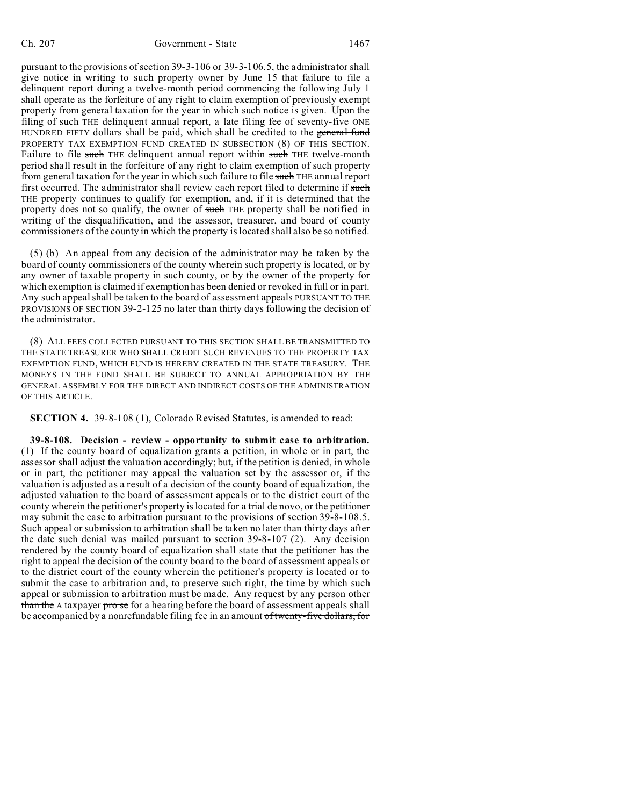pursuant to the provisions of section 39-3-106 or 39-3-106.5, the administrator shall give notice in writing to such property owner by June 15 that failure to file a delinquent report during a twelve-month period commencing the following July 1 shall operate as the forfeiture of any right to claim exemption of previously exempt property from general taxation for the year in which such notice is given. Upon the filing of such THE delinquent annual report, a late filing fee of seventy-five ONE HUNDRED FIFTY dollars shall be paid, which shall be credited to the general fund PROPERTY TAX EXEMPTION FUND CREATED IN SUBSECTION (8) OF THIS SECTION. Failure to file such THE delinquent annual report within such THE twelve-month period shall result in the forfeiture of any right to claim exemption of such property from general taxation for the year in which such failure to file such THE annual report first occurred. The administrator shall review each report filed to determine if such THE property continues to qualify for exemption, and, if it is determined that the property does not so qualify, the owner of such THE property shall be notified in writing of the disqualification, and the assessor, treasurer, and board of county commissioners of the county in which the property is located shall also be so notified.

(5) (b) An appeal from any decision of the administrator may be taken by the board of county commissioners of the county wherein such property is located, or by any owner of taxable property in such county, or by the owner of the property for which exemption is claimed if exemption has been denied or revoked in full or in part. Any such appeal shall be taken to the board of assessment appeals PURSUANT TO THE PROVISIONS OF SECTION 39-2-125 no later than thirty days following the decision of the administrator.

(8) ALL FEES COLLECTED PURSUANT TO THIS SECTION SHALL BE TRANSMITTED TO THE STATE TREASURER WHO SHALL CREDIT SUCH REVENUES TO THE PROPERTY TAX EXEMPTION FUND, WHICH FUND IS HEREBY CREATED IN THE STATE TREASURY. THE MONEYS IN THE FUND SHALL BE SUBJECT TO ANNUAL APPROPRIATION BY THE GENERAL ASSEMBLY FOR THE DIRECT AND INDIRECT COSTS OF THE ADMINISTRATION OF THIS ARTICLE.

**SECTION 4.** 39-8-108 (1), Colorado Revised Statutes, is amended to read:

**39-8-108. Decision - review - opportunity to submit case to arbitration.** (1) If the county board of equalization grants a petition, in whole or in part, the assessor shall adjust the valuation accordingly; but, if the petition is denied, in whole or in part, the petitioner may appeal the valuation set by the assessor or, if the valuation is adjusted as a result of a decision of the county board of equalization, the adjusted valuation to the board of assessment appeals or to the district court of the county wherein the petitioner's property is located for a trial de novo, or the petitioner may submit the case to arbitration pursuant to the provisions of section 39-8-108.5. Such appeal or submission to arbitration shall be taken no later than thirty days after the date such denial was mailed pursuant to section 39-8-107 (2). Any decision rendered by the county board of equalization shall state that the petitioner has the right to appeal the decision of the county board to the board of assessment appeals or to the district court of the county wherein the petitioner's property is located or to submit the case to arbitration and, to preserve such right, the time by which such appeal or submission to arbitration must be made. Any request by any person other than the A taxpayer pro se for a hearing before the board of assessment appeals shall be accompanied by a nonrefundable filing fee in an amount of twenty-five dollars, for